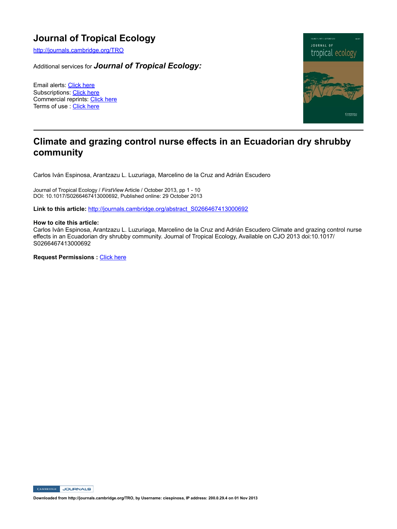# **Journal of Tropical Ecology**

http://journals.cambridge.org/TRO

Additional services for *Journal of Tropical Ecology:*

Email alerts: Click here Subscriptions: Click here Commercial reprints: Click here Terms of use : Click here



# **Climate and grazing control nurse effects in an Ecuadorian dry shrubby community**

Carlos Iván Espinosa, Arantzazu L. Luzuriaga, Marcelino de la Cruz and Adrián Escudero

Journal of Tropical Ecology / *FirstView* Article / October 2013, pp 1 - 10 DOI: 10.1017/S0266467413000692, Published online: 29 October 2013

Link to this article: http://journals.cambridge.org/abstract\_S0266467413000692

## **How to cite this article:**

Carlos Iván Espinosa, Arantzazu L. Luzuriaga, Marcelino de la Cruz and Adrián Escudero Climate and grazing control nurse effects in an Ecuadorian dry shrubby community. Journal of Tropical Ecology, Available on CJO 2013 doi:10.1017/ S0266467413000692

**Request Permissions : Click here** 

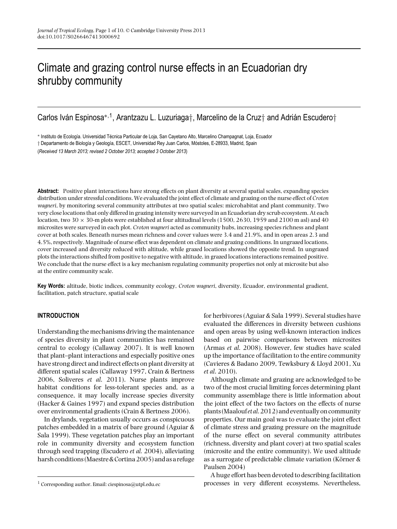# Climate and grazing control nurse effects in an Ecuadorian dry shrubby community

Carlos Iván Espinosa<sup>\*,1</sup>, Arantzazu L. Luzuriaga†, Marcelino de la Cruz† and Adrián Escudero†

∗ Instituto de Ecolog´ıa. Universidad Tecnica Particular de Loja, San Cayetano Alto, Marcelino Champagnat, Loja, Ecuador ´

 $\dagger$  Departamento de Biología y Geología, ESCET, Universidad Rey Juan Carlos, Móstoles, E-28933, Madrid, Spain

(*Received 13 March 2013; revised 2 October 2013; accepted 3 October 2013*)

**Abstract:** Positive plant interactions have strong effects on plant diversity at several spatial scales, expanding species distribution under stressful conditions. We evaluated the joint effect of climate and grazing on the nurse effect of *Croton wagneri*, by monitoring several community attributes at two spatial scales: microhabitat and plant community. Two very close locations that only differed in grazing intensity were surveyed in an Ecuadorian dry scrub ecosystem. At each location, two  $30 \times 30$ -m plots were established at four altitudinal levels (1500, 2630, 1959 and 2100 m asl) and 40 microsites were surveyed in each plot. *Croton wagneri* acted as community hubs, increasing species richness and plant cover at both scales. Beneath nurses mean richness and cover values were 3.4 and 21.9%, and in open areas 2.3 and 4.5%, respectively. Magnitude of nurse effect was dependent on climate and grazing conditions. In ungrazed locations, cover increased and diversity reduced with altitude, while grazed locations showed the opposite trend. In ungrazed plots the interactions shifted from positive to negative with altitude, in grazed locations interactions remained positive. We conclude that the nurse effect is a key mechanism regulating community properties not only at microsite but also at the entire community scale.

**Key Words:** altitude, biotic indices, community ecology, *Croton wagneri*, diversity, Ecuador, environmental gradient, facilitation, patch structure, spatial scale

# **INTRODUCTION**

Understanding the mechanisms driving the maintenance of species diversity in plant communities has remained central to ecology (Callaway 2007). It is well known that plant–plant interactions and especially positive ones have strong direct and indirect effects on plant diversity at different spatial scales (Callaway 1997, Crain & Bertness 2006, Soliveres *et al*. 2011). Nurse plants improve habitat conditions for less-tolerant species and, as a consequence, it may locally increase species diversity (Hacker & Gaines 1997) and expand species distribution over environmental gradients (Crain & Bertness 2006).

In drylands, vegetation usually occurs as conspicuous patches embedded in a matrix of bare ground (Aguiar & Sala 1999). These vegetation patches play an important role in community diversity and ecosystem function through seed trapping (Escudero *et al.* 2004), alleviating harsh conditions (Maestre&Cortina 2005) and as a refuge for herbivores (Aguiar & Sala 1999). Several studies have evaluated the differences in diversity between cushions and open areas by using well-known interaction indices based on pairwise comparisons between microsites (Armas *et al*. 2008). However, few studies have scaled up the importance of facilitation to the entire community (Cavieres & Badano 2009, Tewksbury & Lloyd 2001, Xu *et al*. 2010).

Although climate and grazing are acknowledged to be two of the most crucial limiting forces determining plant community assemblage there is little information about the joint effect of the two factors on the effects of nurse plants (Maalouf*et al*.2012) and eventually on community properties. Our main goal was to evaluate the joint effect of climate stress and grazing pressure on the magnitude of the nurse effect on several community attributes (richness, diversity and plant cover) at two spatial scales (microsite and the entire community). We used altitude as a surrogate of predictable climate variation (Körner  $&$ Paulsen 2004)

A huge effort has been devoted to describing facilitation processes in very different ecosystems. Nevertheless,

<sup>&</sup>lt;sup>1</sup> Corresponding author. Email: ciespinosa@utpl.edu.ec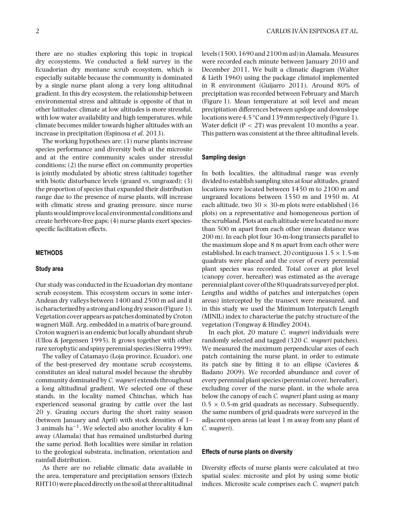there are no studies exploring this topic in tropical dry ecosystems. We conducted a field survey in the Ecuadorian dry montane scrub ecosystem, which is especially suitable because the community is dominated by a single nurse plant along a very long altitudinal gradient. In this dry ecosystem, the relationship between environmental stress and altitude is opposite of that in other latitudes: climate at low altitudes is more stressful, with low water availability and high temperatures, while climate becomes milder towards higher altitudes with an increase in precipitation (Espinosa *et al*. 2013).

The working hypotheses are: (1) nurse plants increase species performance and diversity both at the microsite and at the entire community scales under stressful conditions; (2) the nurse effect on community properties is jointly modulated by abiotic stress (altitude) together with biotic disturbance levels (grazed *vs*. ungrazed); (3) the proportion of species that expanded their distribution range due to the presence of nurse plants, will increase with climatic stress and grazing pressure, since nurse plants wouldimprovelocal environmental conditions and create herbivore-free gaps; (4) nurse plants exert speciesspecific facilitation effects.

# **METHODS**

# **Study area**

Our study was conducted in the Ecuadorian dry montane scrub ecosystem. This ecosystem occurs in some inter-Andean dry valleys between 1400 and 2500 m asl and it is characterized by a strong andlong dry season (Figure 1). Vegetation cover appears as patches dominated by Croton wagneri Müll. Arg. embedded in a matrix of bare ground. Croton wagneri is an endemic but locally abundant shrub (Ulloa & Jørgensen 1995). It grows together with other rare xerophytic and spiny perennial species (Sierra 1999).

The valley of Catamayo (Loja province, Ecuador), one of the best-preserved dry montane scrub ecosystems, constitutes an ideal natural model because the shrubby community dominated by *C. wagneri* extends throughout a long altitudinal gradient. We selected one of these stands, in the locality named Chinchas, which has experienced seasonal grazing by cattle over the last 20 y. Grazing occurs during the short rainy season (between January and April) with stock densities of 1– 3 animals ha<sup> $-1$ </sup>. We selected also another locality 4 km away (Alamala) that has remained undisturbed during the same period. Both localities were similar in relation to the geological substrata, inclination, orientation and rainfall distribution.

As there are no reliable climatic data available in the area, temperature and precipitation sensors (Extech RHT10) were placed directly on the soil at three altitudinal levels (1500, 1690 and 2100m asl)in Alamala.Measures were recorded each minute between January 2010 and December 2011. We built a climatic diagram (Walter & Lieth 1960) using the package climatol implemented in R environment (Guijarro 2011). Around 80% of precipitation was recorded between February and March (Figure 1). Mean temperature at soil level and mean precipitation differences between upslope and downslope locations were 4.5 °C and 139 mm respectively (Figure 1). Water deficit  $(P < 2T)$  was prevalent 10 months a year. This pattern was consistent at the three altitudinal levels.

## **Sampling design**

In both localities, the altitudinal range was evenly divided to establish sampling sites at four altitudes, grazed locations were located between 1450 m to 2100 m and ungrazed locations between 1550 m and 1950 m. At each altitude, two 30  $\times$  30-m plots were established (16 plots) on a representative and homogeneous portion of the scrubland. Plots at each altitude were located no more than 500 m apart from each other (mean distance was 200 m). In each plot four 30-m-long transects parallel to the maximum slope and 8 m apart from each other were established. In each transect, 20 contiguous  $1.5 \times 1.5$ -m quadrats were placed and the cover of every perennial plant species was recorded. Total cover at plot level (canopy cover, hereafter) was estimated as the average perennial plant cover of the 80 quadrats surveyed per plot. Lengths and widths of patches and interpatches (open areas) intercepted by the transect were measured, and in this study we used the Minimum Interpatch Length (MINIL) index to characterize the patchy structure of the vegetation (Tongway & Hindley 2004).

In each plot, 20 mature *C. wagneri* individuals were randomly selected and tagged (320 *C. wagneri* patches). We measured the maximum perpendicular axes of each patch containing the nurse plant, in order to estimate its patch size by fitting it to an ellipse (Cavieres & Badano 2009). We recorded abundance and cover of every perennial plant species (perennial cover, hereafter), excluding cover of the nurse plant, in the whole area below the canopy of each *C. wagneri* plant using as many  $0.5 \times 0.5$ -m grid quadrats as necessary. Subsequently, the same numbers of grid quadrats were surveyed in the adjacent open areas (at least 1 m away from any plant of *C. wagneri*).

#### **Effects of nurse plants on diversity**

Diversity effects of nurse plants were calculated at two spatial scales: microsite and plot by using some biotic indices. Microsite scale comprises each *C. wagneri* patch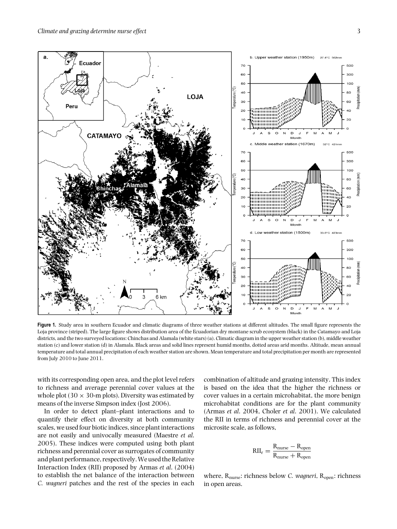

**Figure 1.** Study area in southern Ecuador and climatic diagrams of three weather stations at different altitudes. The small figure represents the Loja province (striped). The large figure shows distribution area of the Ecuadorian dry montane scrub ecosystem (black) in the Catamayo and Loja districts, and the two surveyed locations: Chinchas and Alamala (white stars) (a). Climatic diagram in the upper weather station (b), middle weather station (c) and lower station (d) in Alamala. Black areas and solid lines represent humid months, dotted areas arid months. Altitude, mean annual temperature and total annual precipitation of each weather station are shown. Mean temperature and total precipitation per month are represented from July 2010 to June 2011.

with its corresponding open area, and the plot level refers to richness and average perennial cover values at the whole plot (30  $\times$  30-m plots). Diversity was estimated by means of the inverse Simpson index (Jost 2006).

In order to detect plant–plant interactions and to quantify their effect on diversity at both community scales, we used four biotic indices, since plant interactions are not easily and univocally measured (Maestre *et al*. 2005). These indices were computed using both plant richness and perennial cover as surrogates of community and plant performance, respectively.We used the Relative Interaction Index (RII) proposed by Armas *et al*. (2004) to establish the net balance of the interaction between *C. wagneri* patches and the rest of the species in each

combination of altitude and grazing intensity. This index is based on the idea that the higher the richness or cover values in a certain microhabitat, the more benign microhabitat conditions are for the plant community (Armas *et al*. 2004, Choler *et al*. 2001). We calculated the RII in terms of richness and perennial cover at the microsite scale, as follows,

$$
RII_r = \frac{R_{nurse} - R_{open}}{R_{nurse} + R_{open}}
$$

where, R<sub>nurse</sub>: richness below *C. wagneri*, R<sub>open</sub>: richness in open areas.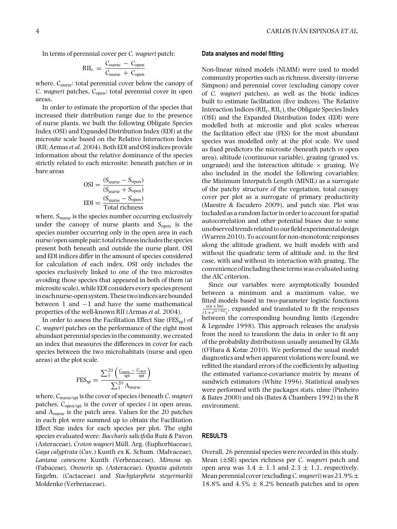In terms of perennial cover per *C. wagneri* patch:

$$
RII_c = \frac{C_{\text{nurse}} - C_{\text{open}}}{C_{\text{nurse}} + C_{\text{open}}}
$$

where,  $C<sub>nurse</sub>$ : total perennial cover below the canopy of *C. wagneri* patches, C<sub>open</sub>: total perennial cover in open areas.

In order to estimate the proportion of the species that increased their distribution range due to the presence of nurse plants, we built the following Obligate Species Index (OSI) and Expanded Distribution Index (EDI) at the microsite scale based on the Relative Interaction Index (RII; Armas*et al*. 2004). Both EDI and OSI indices provide information about the relative dominance of the species strictly related to each microsite: beneath patches or in bare areas

$$
OSI = \frac{(S_{\text{nurse}} - S_{\text{open}})}{(S_{\text{nurse}} + S_{\text{open}})}
$$

$$
EDI = \frac{(S_{\text{nurse}} - S_{\text{open}})}{\text{Total richness}}
$$

where, S<sub>nurse</sub> is the species number occurring exclusively under the canopy of nurse plants and  $S_{open}$  is the species number occurring only in the open area in each nurse/open sample pair; total richnessincludes the species present both beneath and outside the nurse plant. OSI and EDI indices differ in the amount of species considered for calculation of each index, OSI only includes the species exclusively linked to one of the two microsites avoiding those species that appeared in both of them (at microsite scale), while EDI considers every species present in each nurse-open system. These twoindices are bounded between 1 and −1 and have the same mathematical properties of the well-known RII (Armas *et al*. 2004).

In order to assess the Facilitation Effect Size ( $FES_{sn}$ ) of *C. wagneri* patches on the performance of the eight most abundant perennial species in the community, we created an index that measures the differences in cover for each species between the two microhabitats (nurse and open areas) at the plot scale.

$$
\text{FES}_{sp} = \frac{\sum_1^{20} \left( \frac{C_{\text{nurse}}}{\text{spl}} - \frac{C_{\text{open}}}{\text{spl}} \right)}{\sum_1^{20} A_{\text{nurse}}}
$$

where, Cnurse/spi is the cover of species*i* beneath *C. wagneri* patches, Copen/spi is the cover of species *i* in open areas, and Anurse is the patch area. Values for the 20 patches in each plot were summed up to obtain the Facilitation Effect Size index for each species per plot. The eight species evaluated were: *Baccharis salicifolia* Ruiz & Pavon (Asteraceae), *Croton wagneri* Müll. Arg. (Euphorbiaceae), *Gaya calyptrata* (Cav.) Kunth ex K. Schum. (Malvaceae), *Lantana canescens* Kunth (Verbenaceae), *Mimosa* sp. (Fabaceae), *Onoseris* sp. (Asteraceae), *Opuntia quitensis* Engelm. (Cactaceae) and *Stachytarpheta steyermarkii* Moldenke (Verbenaceae).

# **Data analyses and model fitting**

Non-linear mixed models (NLMM) were used to model community properties such as richness, diversity (inverse Simpson) and perennial cover (excluding canopy cover of *C. wagneri* patches), as well as the biotic indices built to estimate facilitation (five indices). The Relative Interaction Indices ( $\text{RII}_r$ ,  $\text{RII}_c$ ), the Obligate Species Index (OSI) and the Expanded Distribution Index (EDI) were modelled both at microsite and plot scales whereas the facilitation effect size (FES) for the most abundant species was modelled only at the plot scale. We used as fixed predictors the microsite (beneath patch *vs* open area), altitude (continuous variable), grazing (grazed vs. ungrazed) and the interaction altitude  $\times$  grazing. We also included in the model the following covariables: the Minimum Interpatch Length (MINIL) as a surrogate of the patchy structure of the vegetation, total canopy cover per plot as a surrogate of primary productivity (Maestre & Escudero 2009), and patch size. Plot was included as a random factor in order to account for spatial autocorrelation and other potential biases due to some unobserved trends related to our field experimental design (Warren 2010). To account for non-monotonic responses along the altitude gradient, we built models with and without the quadratic term of altitude and, in the first case, with and without its interaction with grazing. The convenience of including these terms was evaluated using the AIC criterion.

Since our variables were asymptotically bounded between a minimum and a maximum value, we fitted models based in two-parameter logistic functions  $\frac{e(a + bx)}{(1 + e^{(a + bx)})}$ , expanded and translated to fit the responses between the corresponding bounding limits (Legendre & Legendre 1998). This approach releases the analysis from the need to transform the data in order to fit any of the probability distributions usually assumed by GLMs (O'Hara & Kotze 2010). We performed the usual model diagnostics and when apparent violations were found, we refitted the standard errors of the coefficients by adjusting the estimated variance-covariance matrix by means of sandwich estimators (White 1996). Statistical analyses were performed with the packages stats, nlme (Pinheiro & Bates 2000) and nls (Bates & Chambers 1992) in the R environment.

# **RESULTS**

Overall, 26 perennial species were recorded in this study. Mean (±SE) species richness per *C. wagneri* patch and open area was  $3.4 \pm 1.3$  and  $2.3 \pm 1.1$ , respectively. Mean perennial cover (excluding *C. wagneri*) was  $21.9\% \pm$ 18.8% and  $4.5\% \pm 8.2\%$  beneath patches and in open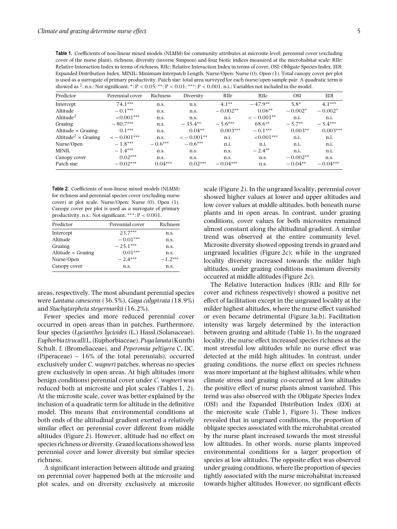**Table 1.** Coefficients of non-linear mixed models (NLMM) for community attributes at microsite level; perennial cover (excluding cover of the nurse plant), richness, diversity (inverse Simpson) and four biotic indices measured at the microhabitat scale: RIIr: Relative Interaction Index in terms of richness, RIIc: Relative Interaction Index in terms of cover, OSI: Obligate Species Index, EDI: Expanded Distribution Index. MINIL: Minimum Interpatch Length, Nurse/Open: Nurse (0), Open (1). Total canopy cover per plot is used as a surrogate of primary productivity. Patch size: total area surveyed for each nurse/open sample pair. A quadratic term is showed as  $^2$ . n.s.: Not significant. \*: P < 0.05; \*\*: P < 0.01; \*\*\*: P < 0.001. n.i.: Variables not included in the model.

| Predictor                              | Perennial cover | Richness  | Diversity   | RIIr       | RIIc        | <b>OSI</b> | EDI        |
|----------------------------------------|-----------------|-----------|-------------|------------|-------------|------------|------------|
| Intercept                              | $74.1***$       | n.s.      | n.s.        | $4.1**$    | $-47.9**$   | $5.8*$     | $4.1***$   |
| Altitude                               | $-0.1***$       | n.s.      | n.s.        | $-0.002**$ | $0.06**$    | $-0.002*$  | $-0.002*$  |
| Altitude <sup>2</sup>                  | $<0.001***$     | n.s.      | n.s.        | n.i.       | $<-0.001**$ | n.i.       | n.i.       |
| Grazing                                | $-80.7***$      | n.s.      | $-35.4**$   | $-5.6***$  | $68.6**$    | $-5.7**$   | $-5.4***$  |
| Altitude $\times$ Grazing              | $0.1***$        | n.s.      | $0.04**$    | $0.003***$ | $-0.1***$   | $0.003**$  | $0.003***$ |
| Altitude <sup>2</sup> $\times$ Grazing | $<-0.001***$    | n.s.      | $<-0.001**$ | n.i.       | $<0.001***$ | n.i.       | n.i.       |
| Nurse/Open                             | $-1.8***$       | $-0.6***$ | $-0.6***$   | n.i.       | n.i.        | n.i.       | n.i.       |
| MINIL                                  | $-1.4***$       | n.s.      | n.s.        | n.s.       | $-2.4**$    | n.i.       | n.i.       |
| Canopy cover                           | $0.02***$       | n.s.      | n.s.        | n.s.       | n.s.        | $-0.002**$ | n.s.       |
| Patch size                             | $-0.02***$      | $0.04***$ | $0.02***$   | $-0.04***$ | n.s.        | $-0.04**$  | $-0.04***$ |

**Table 2.** Coefficients of non-linear mixed models (NLMM) for richness and perennial species cover (excluding nurse cover) at plot scale. Nurse/Open: Nurse (0), Open (1). Canopy cover per plot is used as a surrogate of primary productivity. n.s.: Not significant.  $***: P < 0.001$ .

| Predictor                 | Perennial cover | Richness  |
|---------------------------|-----------------|-----------|
| Intercept                 | $23.7***$       | n.s.      |
| Altitude                  | $-0.01***$      | n.s.      |
| Grazing                   | $-25.1***$      | n.s.      |
| Altitude $\times$ Grazing | $0.01***$       | n.s.      |
| Nurse/Open                | $-2.4***$       | $-1.2***$ |
| Canopy cover              | n.s.            | n.s.      |

areas, respectively. The most abundant perennial species were *Lantana canescens* (36.5%), *Gaya calyptrata* (18.9%) and *Stachytarpheta steyermarkii* (16.2%).

Fewer species and more reduced perennial cover occurred in open areas than in patches. Furthermore, four species (*Lycianthes lycioides* (L.) Hassl.(Solanaceae), *Euphorbia tirucalli*L. (Euphorbiaceae),*Puyalanata* (Kunth) Schult. f. (Bromeliaceae), and *Peperomia peltigera* C. DC. (Piperaceae) – 16% of the total perennials), occurred exclusively under *C. wagneri* patches, whereas no species grew exclusively in open areas. At high altitudes (more benign conditions) perennial cover under *C. wagneri* was reduced both at microsite and plot scales (Tables 1, 2). At the microsite scale, cover was better explained by the inclusion of a quadratic term for altitude in the definitive model. This means that environmental conditions at both ends of the altitudinal gradient exerted a relatively similar effect on perennial cover different from middle altitudes (Figure 2). However, altitude had no effect on species richness or diversity. Grazed locations showed less perennial cover and lower diversity but similar species richness.

A significant interaction between altitude and grazing on perennial cover happened both at the microsite and plot scales, and on diversity exclusively at microsite scale (Figure 2). In the ungrazed locality, perennial cover showed higher values at lower and upper altitudes and low cover values at middle altitudes, both beneath nurse plants and in open areas. In contrast, under grazing conditions, cover values for both microsites remained almost constant along the altitudinal gradient. A similar trend was observed at the entire community level. Microsite diversity showed opposing trends in grazed and ungrazed localities (Figure 2c); while in the ungrazed locality diversity increased towards the milder high altitudes, under grazing conditions maximum diversity occurred at middle altitudes (Figure 2c).

The Relative Interaction Indices (RIIc and RIIr for cover and richness respectively) showed a positive net effect of facilitation except in the ungrazed locality at the milder highest altitudes, where the nurse effect vanished or even became detrimental (Figure 3a,b). Facilitation intensity was largely determined by the interaction between grazing and altitude (Table 1). In the ungrazed locality, the nurse effect increased species richness at the most stressful low altitudes while no nurse effect was detected at the mild high altitudes. In contrast, under grazing conditions, the nurse effect on species richness was more important at the highest altitudes, while when climate stress and grazing co-occurred at low altitudes the positive effect of nurse plants almost vanished. This trend was also observed with the Obligate Species Index (OSI) and the Expanded Distribution Index (EDI) at the microsite scale (Table 1, Figure 3). These indices revealed that in ungrazed conditions, the proportion of obligate species associated with the microhabitat created by the nurse plant increased towards the most stressful low altitudes. In other words, nurse plants improved environmental conditions for a larger proportion of species at low altitudes. The opposite effect was observed under grazing conditions, where the proportion of species tightly associated with the nurse microhabitat increased towards higher altitudes. However, no significant effects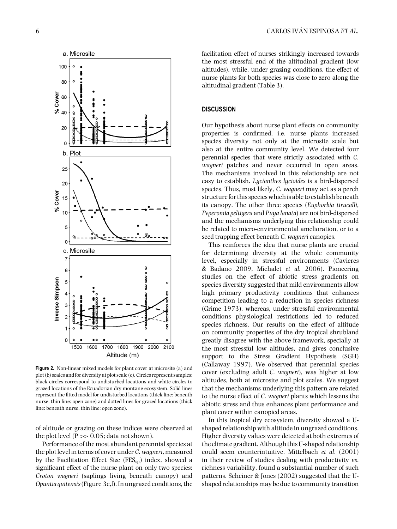

**Figure 2.** Non-linear mixed models for plant cover at microsite (a) and plot (b) scales and for diversity at plot scale (c). Circles represent samples: black circles correspond to undisturbed locations and white circles to grazed locations of the Ecuadorian dry montane ecosystem. Solid lines represent the fitted model for undisturbed locations (thick line: beneath nurse, thin line: open zone) and dotted lines for grazed locations (thick line: beneath nurse, thin line: open zone).

of altitude or grazing on these indices were observed at the plot level  $(P \gg 0.05$ ; data not shown).

Performance of the most abundant perennial species at the plot level in terms of cover under *C. wagneri*, measured by the Facilitation Effect Size  $(FES_{sp})$  index, showed a significant effect of the nurse plant on only two species: *Croton wagneri* (saplings living beneath canopy) and *Opuntia quitensis*(Figure 3e,f). In ungrazed conditions, the facilitation effect of nurses strikingly increased towards the most stressful end of the altitudinal gradient (low altitudes), while, under grazing conditions, the effect of nurse plants for both species was close to zero along the altitudinal gradient (Table 3).

# **DISCUSSION**

Our hypothesis about nurse plant effects on community properties is confirmed, i.e. nurse plants increased species diversity not only at the microsite scale but also at the entire community level. We detected four perennial species that were strictly associated with *C. wagneri* patches and never occurred in open areas. The mechanisms involved in this relationship are not easy to establish. *Lycianthes lycioides* is a bird-dispersed species. Thus, most likely, *C. wagneri* may act as a perch structure for this species which is able to establish beneath its canopy. The other three species (*Euphorbia tirucalli*, *Peperomia peltigera* and *Puya lanata*) are not bird-dispersed and the mechanisms underlying this relationship could be related to micro-environmental amelioration, or to a seed trapping effect beneath *C. wagneri* canopies.

This reinforces the idea that nurse plants are crucial for determining diversity at the whole community level, especially in stressful environments (Cavieres & Badano 2009, Michalet *et al.* 2006). Pioneering studies on the effect of abiotic stress gradients on species diversity suggested that mild environments allow high primary productivity conditions that enhances competition leading to a reduction in species richness (Grime 1973), whereas, under stressful environmental conditions physiological restrictions led to reduced species richness. Our results on the effect of altitude on community properties of the dry tropical shrubland greatly disagree with the above framework, specially at the most stressful low altitudes, and gives conclusive support to the Stress Gradient Hypothesis (SGH) (Callaway 1997). We observed that perennial species cover (excluding adult *C. wagneri*), was higher at low altitudes, both at microsite and plot scales. We suggest that the mechanisms underlying this pattern are related to the nurse effect of *C. wagneri* plants which lessens the abiotic stress and thus enhances plant performance and plant cover within canopied areas.

In this tropical dry ecosystem, diversity showed a Ushaped relationship with altitude in ungrazed conditions. Higher diversity values were detected at both extremes of the climate gradient. Although this U-shaped relationship could seem counterintuitive, Mittelbach *et al*. (2001) in their review of studies dealing with productivity *vs*. richness variability, found a substantial number of such patterns. Scheiner & Jones (2002) suggested that the Ushaped relationships may be due to community transition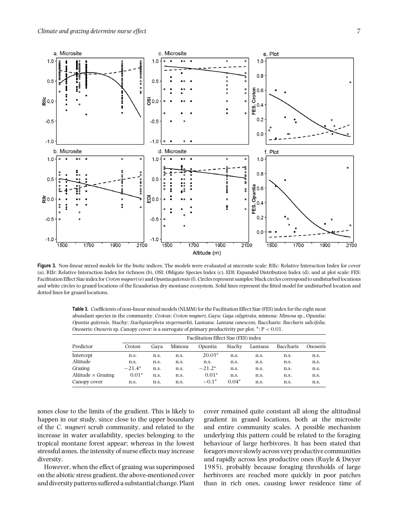

**Figure 3.** Non-linear mixed models for the biotic indices. The models were evaluated at microsite scale: RIIc: Relative Interaction Index for cover (a), RIIr: Relative Interaction Index for richness (b), OSI: Obligate Species Index (c), EDI: Expanded Distribution Index (d), and at plot scale: FES: Facilitation Effect Size index for*Croton wagneri*(e) and*Opuntia quitensis*(f). Circles represent samples: black circles correspond to undisturbed locations and white circles to grazed locations of the Ecuadorian dry montane ecosystem. Solid lines represent the fitted model for undisturbed location and dotted lines for grazed locations.

**Table 3.** Coefficients of non-linear mixed models (NLMM) for the Facilitation Effect Size (FES) index for the eight most abundant species in the community. Croton: *Croton wagneri*, Gaya: *Gaya calyptrata*, mimosa: *Mimosa* sp., Opuntia: *Opuntia quitensis*, Stachy: *Stachystarpheta steyermarkii*, Lantana: *Lantana canescens,* Baccharis: *Baccharis salicifolia*, Onoseris: *Onoseris* sp. Canopy cover: is a surrogate of primary productivity per plot. ∗: P < 0.01.

| Predictor                                   | Facilitation Effect Size (FES) index |      |        |          |         |         |           |          |  |
|---------------------------------------------|--------------------------------------|------|--------|----------|---------|---------|-----------|----------|--|
|                                             | Croton                               | Gava | Mimosa | Opuntia  | Stachy  | Lantana | Baccharis | Onoseris |  |
| Intercept                                   | n.s.                                 | n.s. | n.s.   | $20.05*$ | n.s.    | n.s.    | n.s.      | n.s.     |  |
| Altitude                                    | n.s.                                 | n.s. | n.s.   | n.s.     | n.s.    | n.s.    | n.s.      | n.s.     |  |
| Grazing                                     | $-21.4*$                             | n.s. | n.s.   | $-21.2*$ | n.s.    | n.s.    | n.s.      | n.s.     |  |
| $\mathrm{Altitude} \times \mathrm{Grazing}$ | $0.01*$                              | n.s. | n.s.   | $0.01*$  | n.s.    | n.s.    | n.s.      | n.s.     |  |
| Canopy cover                                | n.s.                                 | n.s. | n.s.   | $-0.1*$  | $0.04*$ | n.s.    | n.s.      | n.s.     |  |

zones close to the limits of the gradient. This is likely to happen in our study, since close to the upper boundary of the *C. wagneri* scrub community, and related to the increase in water availability, species belonging to the tropical montane forest appear; whereas in the lowest stressful zones, the intensity of nurse effects may increase diversity.

However, when the effect of grazing was superimposed on the abiotic stress gradient, the above-mentioned cover and diversity patterns suffered a substantial change. Plant cover remained quite constant all along the altitudinal gradient in grazed locations, both at the microsite and entire community scales. A possible mechanism underlying this pattern could be related to the foraging behaviour of large herbivores. It has been stated that foragersmove slowly across very productive communities and rapidly across less productive ones (Ruyle & Dwyer 1985), probably because foraging thresholds of large herbivores are reached more quickly in poor patches than in rich ones, causing lower residence time of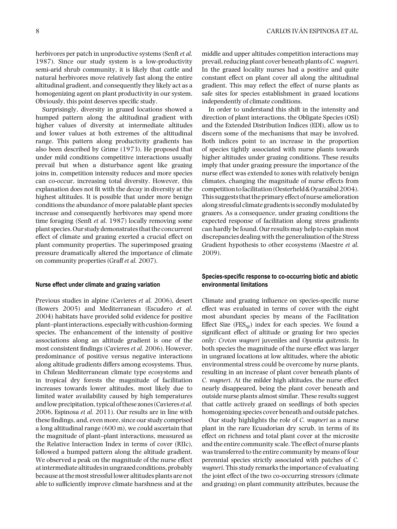herbivores per patch in unproductive systems (Senft *et al.* 1987). Since our study system is a low-productivity semi-arid shrub community, it is likely that cattle and natural herbivores move relatively fast along the entire altitudinal gradient, and consequently they likely act as a homogenizing agent on plant productivity in our system. Obviously, this point deserves specific study.

Surprisingly, diversity in grazed locations showed a humped pattern along the altitudinal gradient with higher values of diversity at intermediate altitudes and lower values at both extremes of the altitudinal range. This pattern along productivity gradients has also been described by Grime (1973). He proposed that under mild conditions competitive interactions usually prevail but when a disturbance agent like grazing joins in, competition intensity reduces and more species can co-occur, increasing total diversity. However, this explanation does not fit with the decay in diversity at the highest altitudes. It is possible that under more benign conditions the abundance of more palatable plant species increase and consequently herbivores may spend more time foraging (Senft *et al*. 1987) locally removing some plant species. Our study demonstrates that the concurrent effect of climate and grazing exerted a crucial effect on plant community properties. The superimposed grazing pressure dramatically altered the importance of climate on community properties (Graff *et al.* 2007).

#### **Nurse effect under climate and grazing variation**

Previous studies in alpine (Cavieres *et al.* 2006), desert (Bowers 2005) and Mediterranean (Escudero *et al.* 2004) habitats have provided solid evidence for positive plant–plantinteractions, especiallywith cushion-forming species. The enhancement of the intensity of positive associations along an altitude gradient is one of the most consistent findings (Cavieres *et al.* 2006). However, predominance of positive versus negative interactions along altitude gradients differs among ecosystems. Thus, in Chilean Mediterranean climate type ecosystems and in tropical dry forests the magnitude of facilitation increases towards lower altitudes, most likely due to limited water availability caused by high temperatures and low precipitation, typical of these zones (Cavieres*et al.* 2006, Espinosa *et al.* 2011). Our results are in line with these findings, and, even more, since our study comprised a long altitudinal range (600 m), we could ascertain that the magnitude of plant–plant interactions, measured as the Relative Interaction Index in terms of cover (RIIc), followed a humped pattern along the altitude gradient. We observed a peak on the magnitude of the nurse effect atintermediate altitudesin ungrazed conditions, probably because at the most stressful lower altitudes plants are not able to sufficiently improve climate harshness and at the

middle and upper altitudes competition interactions may prevail, reducing plant cover beneath plants of *C. wagneri*. In the grazed locality nurses had a positive and quite constant effect on plant cover all along the altitudinal gradient. This may reflect the effect of nurse plants as safe sites for species establishment in grazed locations independently of climate conditions.

In order to understand this shift in the intensity and direction of plant interactions, the Obligate Species (OSI) and the Extended Distribution Indices (EDI), allow us to discern some of the mechanisms that may be involved. Both indices point to an increase in the proportion of species tightly associated with nurse plants towards higher altitudes under grazing conditions. These results imply that under grazing pressure the importance of the nurse effect was extended to zones with relatively benign climates, changing the magnitude of nurse effects from competition to facilitation (Oesterheld & Oyarzábal 2004). This suggests that the primary effect of nurse amelioration along stressful climate gradients is secondly modulated by grazers. As a consequence, under grazing conditions the expected response of facilitation along stress gradients can hardly be found. Our results may help to explain most discrepancies dealing with the generalization of the Stress Gradient hypothesis to other ecosystems (Maestre *et al.* 2009).

# **Species-specific response to co-occurring biotic and abiotic environmental limitations**

Climate and grazing influence on species-specific nurse effect was evaluated in terms of cover with the eight most abundant species by means of the Facilitation Effect Size  $(FES_{sp})$  index for each species. We found a significant effect of altitude or grazing for two species only: *Croton wagneri* juveniles and *Opuntia quitensis*. In both species the magnitude of the nurse effect was larger in ungrazed locations at low altitudes, where the abiotic environmental stress could be overcome by nurse plants, resulting in an increase of plant cover beneath plants of *C. wagneri*. At the milder high altitudes, the nurse effect nearly disappeared, being the plant cover beneath and outside nurse plants almost similar. These results suggest that cattle actively grazed on seedlings of both species homogenizing species cover beneath and outside patches.

Our study highlights the role of *C. wagneri* as a nurse plant in the rare Ecuadorian dry scrub, in terms of its effect on richness and total plant cover at the microsite and the entire community scale. The effect of nurse plants was transferred to the entire community by means of four perennial species strictly associated with patches of *C. wagneri*. This study remarks the importance of evaluating the joint effect of the two co-occurring stressors (climate and grazing) on plant community attributes, because the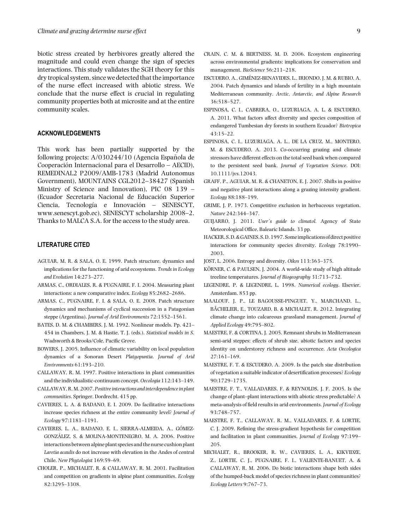biotic stress created by herbivores greatly altered the magnitude and could even change the sign of species interactions. This study validates the SGH theory for this dry tropical system, since we detected that the importance of the nurse effect increased with abiotic stress. We conclude that the nurse effect is crucial in regulating community properties both at microsite and at the entire community scales.

# **ACKNOWLEDGEMENTS**

This work has been partially supported by the following projects: A/030244/10 (Agencia Española de Cooperacion Internacional para el Desarrollo – AECID), ´ REMEDINAL2 P2009/AMB-1783 (Madrid Autonomus Government), MOUNTAINS CGL2012–38427 (Spanish Ministry of Science and Innovation), PIC 08 139 – (Ecuador Secretaria Nacional de Educacion Superior ´ Ciencia, Tecnología e Innovación – SENESCYT, www.senescyt.gob.ec), SENESCYT scholarship 2008–2. Thanks to MALCA S.A. for the access to the study area.

# **LITERATURE CITED**

- AGUIAR, M. R. & SALA, O. E. 1999. Patch structure, dynamics and implications for the functioning of arid ecosystems. *Trends in Ecology and Evolution* 14:273–277.
- ARMAS, C., ORDIALES, R. & PUGNAIRE, F. I. 2004. Measuring plant interactions: a new comparative index. *Ecology* 85:2682–2686.
- ARMAS, C., PUGNAIRE, F. I. & SALA, O. E. 2008. Patch structure dynamics and mechanisms of cyclical succession in a Patagonian steppe (Argentina). *Journal of Arid Environments* 72:1552–1561.
- BATES, D. M. & CHAMBERS, J. M. 1992. Nonlinear models. Pp. 421– 454 in Chambers, J. M. & Hastie, T. J. (eds.). *Statistical models in S*. Wadsworth & Brooks/Cole, Pacific Grove.
- BOWERS, J. 2005. Influence of climatic variability on local population dynamics of a Sonoran Desert *Platyopuntia*. *Journal of Arid Environments* 61:193–210.
- CALLAWAY, R. M. 1997. Positive interactions in plant communities and the individualistic-continuum concept. *Oecologia* 112:143–149.
- CALLAWAY, R. M. 2007.*Positive interactions and interdependence in plant communities*. Springer, Dordrecht. 415 pp.
- CAVIERES, L. A. & BADANO, E. I. 2009. Do facilitative interactions increase species richness at the entire community level? *Journal of Ecology* 97:1181–1191.
- CAVIERES, L. A., BADANO, E. I., SIERRA-ALMEIDA, A., GÓMEZ-GONZALEZ, S. & MOLINA-MONTENEGRO, M. A. 2006. Positive ´ interactions between alpine plant species and the nurse cushion plant *Laretia acaulis* do not increase with elevation in the Andes of central Chile. *New Phytologist* 169:59–69.
- CHOLER, P., MICHALET, R. & CALLAWAY, R. M. 2001. Facilitation and competition on gradients in alpine plant communities. *Ecology* 82:3295–3308.
- CRAIN, C. M. & BERTNESS, M. D. 2006. Ecosystem engineering across environmental gradients: implications for conservation and management. *BioScience* 56:211–218.
- ESCUDERO, A., GIMENEZ-BENAVIDES, L., IRIONDO, J. M. & RUBIO, A. ´ 2004. Patch dynamics and islands of fertility in a high mountain Mediterranean community. *Arctic, Antarctic, and Alpine Research* 36:518–527.
- ESPINOSA, C. I., CABRERA, O., LUZURIAGA, A. L. & ESCUDERO, A. 2011. What factors affect diversity and species composition of endangered Tumbesian dry forests in southern Ecuador? *Biotropica* 43:15–22.
- ESPINOSA, C. I., LUZURIAGA, A. L., DE LA CRUZ, M., MONTERO, M. & ESCUDERO, A. 2013. Co-occurring grazing and climate stressors have different effects on the total seed bank when compared to the persistent seed bank. *Journal of Vegetation Science*. DOI: 10.1111/jvs.12043.
- GRAFF, P., AGUIAR, M. R. & CHANETON, E. J. 2007. Shifts in positive and negative plant interactions along a grazing intensity gradient. *Ecology* 88:188–199.
- GRIME, J. P. 1973. Competitive exclusion in herbaceous vegetation. *Nature* 242:344–347.
- GUIJARRO, J. 2011. *User´s guide to climatol*. Agency of State Meteorological Office, Balearic Islands. 33 pp.
- HACKER, S.D.&GAINES, S.D. 1997. Someimplications of direct positive interactions for community species diversity. *Ecology* 78:1990– 2003.
- JOST, L. 2006. Entropy and diversity. *Oikos* 113:363–375.
- KÖRNER, C. & PAULSEN, J. 2004. A world-wide study of high altitude treeline temperatures. *Journal of Biogeography* 31:713–732.
- LEGENDRE, P. & LEGENDRE, L. 1998. *Numerical ecology*. Elsevier, Amsterdam. 853 pp.
- MAALOUF, J. P., LE BAGOUSSE-PINGUET, Y., MARCHAND, L., BÂCHELIER, E., TOUZARD, B. & MICHALET, R. 2012. Integrating climate change into calcareous grassland management. *Journal of Applied Ecology* 49:795–802.
- MAESTRE, F. & CORTINA, J. 2005. Remnant shrubs in Mediterranean semi-arid steppes: effects of shrub size, abiotic factors and species identity on understorey richness and occurrence. *Acta Oecologica* 27:161–169.
- MAESTRE, F. T. & ESCUDERO, A. 2009. Is the patch size distribution of vegetation a suitable indicator of desertification processes? *Ecology* 90:1729–1735.
- MAESTRE, F. T., VALLADARES, F. & REYNOLDS, J. F. 2005. Is the change of plant–plant interactions with abiotic stress predictable? A meta-analysis of field results in arid environments. *Journal of Ecology* 93:748–757.
- MAESTRE, F. T., CALLAWAY, R. M., VALLADARES, F. & LORTIE, C. J. 2009. Refining the stress-gradient hypothesis for competition and facilitation in plant communities. *Journal of Ecology* 97:199– 205.
- MICHALET, R., BROOKER, R. W., CAVIERES, L. A., KIKVIDZE, Z., LORTIE, C. J., PUGNAIRE, F. I., VALIENTE-BANUET, A. & CALLAWAY, R. M. 2006. Do biotic interactions shape both sides of the humped-back model of species richness in plant communities? *Ecology Letters* 9:767–73.